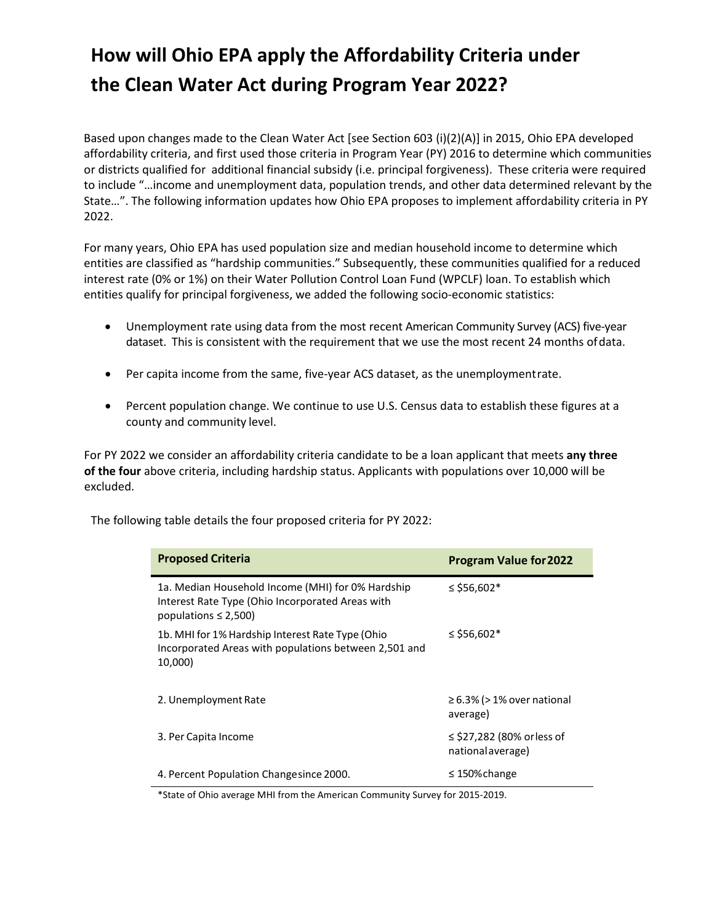## **How will Ohio EPA apply the Affordability Criteria under the Clean Water Act during Program Year 2022?**

Based upon changes made to the Clean Water Act [see Section 603 (i)(2)(A)] in 2015, Ohio EPA developed affordability criteria, and first used those criteria in Program Year (PY) 2016 to determine which communities or districts qualified for additional financial subsidy (i.e. principal forgiveness). These criteria were required to include "…income and unemployment data, population trends, and other data determined relevant by the State…". The following information updates how Ohio EPA proposes to implement affordability criteria in PY 2022.

For many years, Ohio EPA has used population size and median household income to determine which entities are classified as "hardship communities." Subsequently, these communities qualified for a reduced interest rate (0% or 1%) on their Water Pollution Control Loan Fund (WPCLF) loan. To establish which entities qualify for principal forgiveness, we added the following socio-economic statistics:

- Unemployment rate using data from the most recent American Community Survey (ACS) five‐year dataset. This is consistent with the requirement that we use the most recent 24 months ofdata.
- Per capita income from the same, five‐year ACS dataset, as the unemploymentrate.
- Percent population change. We continue to use U.S. Census data to establish these figures at a county and community level.

For PY 2022 we consider an affordability criteria candidate to be a loan applicant that meets **any three of the four** above criteria, including hardship status. Applicants with populations over 10,000 will be excluded.

| <b>Proposed Criteria</b>                                                                                                           | <b>Program Value for 2022</b>                   |
|------------------------------------------------------------------------------------------------------------------------------------|-------------------------------------------------|
| 1a. Median Household Income (MHI) for 0% Hardship<br>Interest Rate Type (Ohio Incorporated Areas with<br>populations $\leq$ 2,500) | ≤ \$56,602 <sup>*</sup>                         |
| 1b. MHI for 1% Hardship Interest Rate Type (Ohio<br>Incorporated Areas with populations between 2,501 and<br>10,000)               | ≤ \$56,602 <sup>*</sup>                         |
| 2. Unemployment Rate                                                                                                               | $\geq$ 6.3% (> 1% over national<br>average)     |
| 3. Per Capita Income                                                                                                               | ≤ \$27,282 (80% or less of<br>national average) |
| 4. Percent Population Changesince 2000.                                                                                            | $\leq$ 150% change                              |

The following table details the four proposed criteria for PY 2022:

\*State of Ohio average MHI from the American Community Survey for 2015‐2019.